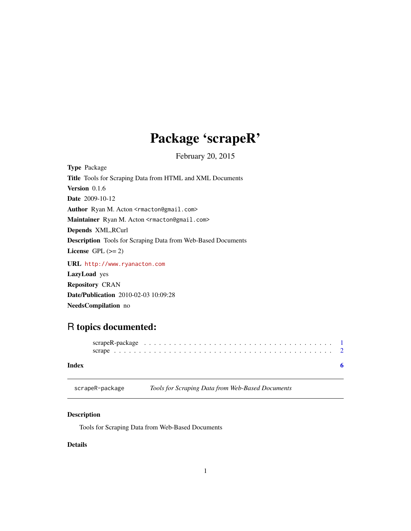## Package 'scrapeR'

February 20, 2015

<span id="page-0-1"></span><span id="page-0-0"></span>Type Package Title Tools for Scraping Data from HTML and XML Documents Version 0.1.6 Date 2009-10-12 Author Ryan M. Acton <rmacton@gmail.com> Maintainer Ryan M. Acton <rmacton@gmail.com> Depends XML,RCurl Description Tools for Scraping Data from Web-Based Documents License GPL  $(>= 2)$ URL <http://www.ryanacton.com>

LazyLoad yes Repository CRAN Date/Publication 2010-02-03 10:09:28 NeedsCompilation no

### R topics documented:

#### **Index** [6](#page-5-0) **6**

scrapeR-package *Tools for Scraping Data from Web-Based Documents*

#### Description

Tools for Scraping Data from Web-Based Documents

#### Details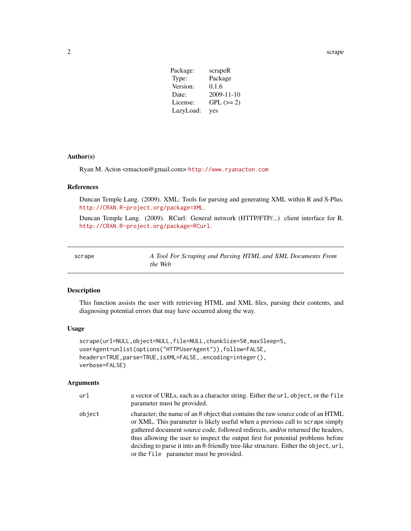<span id="page-1-0"></span>2 scrape and the contract of the contract of the contract of the contract of the contract of the contract of the contract of the contract of the contract of the contract of the contract of the contract of the contract of t

| Package:  | scrapeR     |
|-----------|-------------|
| Type:     | Package     |
| Version:  | 0.1.6       |
| Date:     | 2009-11-10  |
| License:  | $GPL (= 2)$ |
| LazyLoad: | yes         |

#### Author(s)

Ryan M. Acton <rmacton@gmail.com> <http://www.ryanacton.com>

#### References

Duncan Temple Lang. (2009). XML: Tools for parsing and generating XML within R and S-Plus. <http://CRAN.R-project.org/package=XML>.

Duncan Temple Lang. (2009). RCurl: General network (HTTP/FTP/...) client interface for R. <http://CRAN.R-project.org/package=RCurl>.

| scrape | A Tool For Scraping and Parsing HTML and XML Documents From |  |
|--------|-------------------------------------------------------------|--|
|        | the Web                                                     |  |

#### Description

This function assists the user with retrieving HTML and XML files, parsing their contents, and diagnosing potential errors that may have occurred along the way.

#### Usage

```
scrape(url=NULL,object=NULL,file=NULL,chunkSize=50,maxSleep=5,
userAgent=unlist(options("HTTPUserAgent")),follow=FALSE,
headers=TRUE,parse=TRUE,isXML=FALSE,.encoding=integer(),
verbose=FALSE)
```
#### Arguments

| url    | a vector of URLs, each as a character string. Either the url, object, or the file<br>parameter must be provided.                                                                                                                                                                                                                                                                                                                                                           |
|--------|----------------------------------------------------------------------------------------------------------------------------------------------------------------------------------------------------------------------------------------------------------------------------------------------------------------------------------------------------------------------------------------------------------------------------------------------------------------------------|
| object | character; the name of an R object that contains the raw source code of an HTML<br>or XML. This parameter is likely useful when a previous call to scrape simply<br>gathered document source code, followed redirects, and/or returned the headers,<br>thus allowing the user to inspect the output first for potential problems before<br>deciding to parse it into an R-friendly tree-like structure. Either the object, url,<br>or the file parameter must be provided. |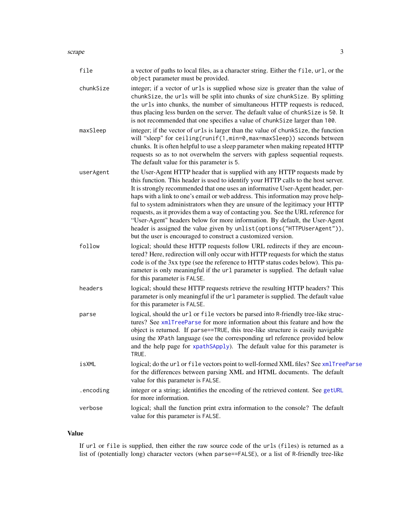#### <span id="page-2-0"></span>scrape 3

| file      | a vector of paths to local files, as a character string. Either the file, url, or the<br>object parameter must be provided.                                                                                                                                                                                                                                                                                                                                                                                                                                                                                                                                                                                                               |
|-----------|-------------------------------------------------------------------------------------------------------------------------------------------------------------------------------------------------------------------------------------------------------------------------------------------------------------------------------------------------------------------------------------------------------------------------------------------------------------------------------------------------------------------------------------------------------------------------------------------------------------------------------------------------------------------------------------------------------------------------------------------|
| chunkSize | integer; if a vector of urls is supplied whose size is greater than the value of<br>chunkSize, the urls will be split into chunks of size chunkSize. By splitting<br>the urls into chunks, the number of simultaneous HTTP requests is reduced,<br>thus placing less burden on the server. The default value of chunkSize is 50. It<br>is not recommended that one specifies a value of chunkSize larger than 100.                                                                                                                                                                                                                                                                                                                        |
| maxSleep  | integer; if the vector of urls is larger than the value of chunkSize, the function<br>will "sleep" for ceiling(runif(1,min=0,max=maxSleep)) seconds between<br>chunks. It is often helpful to use a sleep parameter when making repeated HTTP<br>requests so as to not overwhelm the servers with gapless sequential requests.<br>The default value for this parameter is 5.                                                                                                                                                                                                                                                                                                                                                              |
| userAgent | the User-Agent HTTP header that is supplied with any HTTP requests made by<br>this function. This header is used to identify your HTTP calls to the host server.<br>It is strongly recommended that one uses an informative User-Agent header, per-<br>haps with a link to one's email or web address. This information may prove help-<br>ful to system administrators when they are unsure of the legitimacy your HTTP<br>requests, as it provides them a way of contacting you. See the URL reference for<br>"User-Agent" headers below for more information. By default, the User-Agent<br>header is assigned the value given by unlist (options ("HTTPUserAgent")),<br>but the user is encouraged to construct a customized version. |
| follow    | logical; should these HTTP requests follow URL redirects if they are encoun-<br>tered? Here, redirection will only occur with HTTP requests for which the status<br>code is of the 3xx type (see the reference to HTTP status codes below). This pa-<br>rameter is only meaningful if the url parameter is supplied. The default value<br>for this parameter is FALSE.                                                                                                                                                                                                                                                                                                                                                                    |
| headers   | logical; should these HTTP requests retrieve the resulting HTTP headers? This<br>parameter is only meaningful if the url parameter is supplied. The default value<br>for this parameter is FALSE.                                                                                                                                                                                                                                                                                                                                                                                                                                                                                                                                         |
| parse     | logical, should the url or file vectors be parsed into R-friendly tree-like struc-<br>tures? See xmlTreeParse for more information about this feature and how the<br>object is returned. If parse==TRUE, this tree-like structure is easily navigable<br>using the XPath language (see the corresponding url reference provided below<br>and the help page for xpathSApply). The default value for this parameter is<br>TRUE.                                                                                                                                                                                                                                                                                                             |
| isXML     | logical; do the url or file vectors point to well-formed XML files? See xmlTreeParse<br>for the differences between parsing XML and HTML documents. The default<br>value for this parameter is FALSE.                                                                                                                                                                                                                                                                                                                                                                                                                                                                                                                                     |
| .encoding | integer or a string; identifies the encoding of the retrieved content. See getURL<br>for more information.                                                                                                                                                                                                                                                                                                                                                                                                                                                                                                                                                                                                                                |
| verbose   | logical; shall the function print extra information to the console? The default<br>value for this parameter is FALSE.                                                                                                                                                                                                                                                                                                                                                                                                                                                                                                                                                                                                                     |

#### Value

If url or file is supplied, then either the raw source code of the urls (files) is returned as a list of (potentially long) character vectors (when parse==FALSE), or a list of R-friendly tree-like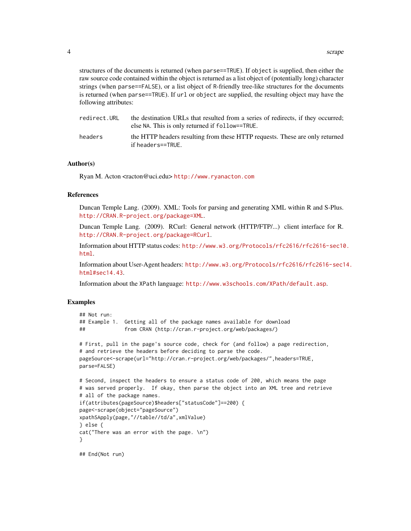structures of the documents is returned (when parse==TRUE). If object is supplied, then either the raw source code contained within the object is returned as a list object of (potentially long) character strings (when parse==FALSE), or a list object of R-friendly tree-like structures for the documents is returned (when parse==TRUE). If url or object are supplied, the resulting object may have the following attributes:

| redirect.URL | the destination URLs that resulted from a series of redirects, if they occurred;<br>else NA. This is only returned if follow==TRUE. |
|--------------|-------------------------------------------------------------------------------------------------------------------------------------|
| headers      | the HTTP headers resulting from these HTTP requests. These are only returned<br>if headers==TRUE.                                   |

#### Author(s)

Ryan M. Acton <racton@uci.edu> <http://www.ryanacton.com>

#### References

Duncan Temple Lang. (2009). XML: Tools for parsing and generating XML within R and S-Plus. <http://CRAN.R-project.org/package=XML>.

Duncan Temple Lang. (2009). RCurl: General network (HTTP/FTP/...) client interface for R. <http://CRAN.R-project.org/package=RCurl>.

Information about HTTP status codes: [http://www.w3.org/Protocols/rfc2616/rfc2616-sec10](http://www.w3.org/Protocols/rfc2616/rfc2616-sec10.html). [html](http://www.w3.org/Protocols/rfc2616/rfc2616-sec10.html).

Information about User-Agent headers: [http://www.w3.org/Protocols/rfc2616/rfc2616-sec1](http://www.w3.org/Protocols/rfc2616/rfc2616-sec14.html#sec14.43)4. [html#sec14.43](http://www.w3.org/Protocols/rfc2616/rfc2616-sec14.html#sec14.43).

Information about the XPath language: <http://www.w3schools.com/XPath/default.asp>.

#### Examples

```
## Not run:
## Example 1. Getting all of the package names available for download
## from CRAN (http://cran.r-project.org/web/packages/)
# First, pull in the page's source code, check for (and follow) a page redirection,
# and retrieve the headers before deciding to parse the code.
pageSource<-scrape(url="http://cran.r-project.org/web/packages/",headers=TRUE,
parse=FALSE)
# Second, inspect the headers to ensure a status code of 200, which means the page
# was served properly. If okay, then parse the object into an XML tree and retrieve
# all of the package names.
if(attributes(pageSource)$headers["statusCode"]==200) {
page<-scrape(object="pageSource")
xpathSApply(page,"//table//td/a",xmlValue)
} else {
cat("There was an error with the page. \n")
}
## End(Not run)
```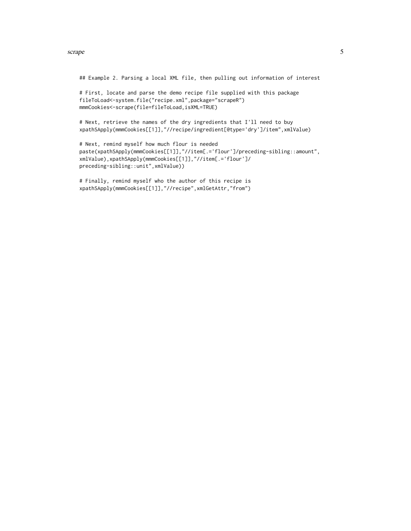#### scrape 5 and 5 and 5 and 5 and 5 and 5 and 5 and 5 and 5 and 5 and 5 and 5 and 5 and 5 and 5 and 5 and 5 and 5

## Example 2. Parsing a local XML file, then pulling out information of interest

# First, locate and parse the demo recipe file supplied with this package fileToLoad<-system.file("recipe.xml",package="scrapeR") mmmCookies<-scrape(file=fileToLoad,isXML=TRUE)

# Next, retrieve the names of the dry ingredients that I'll need to buy xpathSApply(mmmCookies[[1]],"//recipe/ingredient[@type='dry']/item",xmlValue)

```
# Next, remind myself how much flour is needed
paste(xpathSApply(mmmCookies[[1]],"//item[.='flour']/preceding-sibling::amount",
xmlValue),xpathSApply(mmmCookies[[1]],"//item[.='flour']/
preceding-sibling::unit",xmlValue))
```

```
# Finally, remind myself who the author of this recipe is
xpathSApply(mmmCookies[[1]],"//recipe",xmlGetAttr,"from")
```